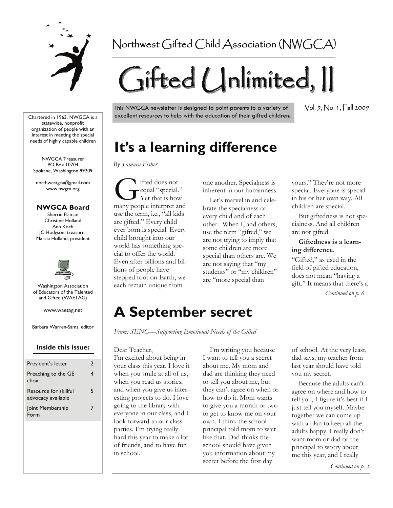

## Northwest Gifted Child Association (NWGCA)

# Gifted Unlimited, II

This NWGCA newsletter is designed to point parents to a variety of excellent resources to help with the education of their gifted children**.**  Vol. 9, No. 1, Fall 2009

# **It's a learning difference**

*By Tamara Fisher* 

**G** ifted does not<br>requal "special."<br>The Yet that is how<br>many people interpret at equal "special." Yet that is how many people interpret and use the term, i.e., "all kids are gifted." Every child ever born is special. Every child brought into our world has something special to offer the world. Even after billions and billions of people have stepped foot on Earth, we each remain unique from

one another. Specialness is inherent in our humanness.

 Let's marvel in and celebrate the specialness of every child and of each other. When I, and others, use the term "gifted," we are not trying to imply that some children are more special than others are. We are not saying that "my students" or "my children" are "more special than

yours." They're not more special. Everyone is special in his or her own way. All children are special.

 But giftedness is not specialness. And all children are not gifted.

#### **Giftedness is a learning difference**.

"Gifted," as used in the field of gifted education, does not mean "having a gift." It means that there's a *Continued on p. 6* 

# **A September secret**

*From: SENG—Supporting Emotional Needs of the Gifted* 

Dear Teacher,

I'm excited about being in your class this year. I love it when you smile at all of us, when you read us stories, and when you give us interesting projects to do. I love going to the library with everyone in our class, and I look forward to our class parties. I'm trying really hard this year to make a lot of friends, and to have fun in school.

 I'm writing you because I want to tell you a secret about me. My mom and dad are thinking they need to tell you about me, but they can't agree on when or how to do it. Mom wants to give you a month or two to get to know me on your own. I think the school principal told mom to wait like that. Dad thinks the school should have given you information about my secret before the first day

of school. At the very least, dad says, my teacher from last year should have told you my secret.

 Because the adults can't agree on where and how to tell you, I figure it's best if I just tell you myself. Maybe together we can come up with a plan to keep all the adults happy. I really don't want mom or dad or the principal to worry about me this year, and I really

*Continued on p. 3* 

Chartered in 1963, NWGCA is a statewide, nonprofit organization of people with an interest in meeting the special needs of highly capable children

NWGCA Treasurer PO Box 10704 Spokane, Washington 99209

northwestgca@gmail.com www.nwgca.org

#### **NWGCA Board**

Sherrie Flaman Christine Holland Ann Koch JC Hodgson, treasurer Marcia Holland, president



Washington Association of Educators of the Talented and Gifted (WAETAG)

www.waetag.net

Barbara Warren-Sams, editor

#### **Inside this issue:**

| President's letter                          | 2 |
|---------------------------------------------|---|
| Preaching to the GE<br>choir                | 4 |
| Resource for skillful<br>advocacy available | 5 |
| Joint Membership<br>Form                    |   |
|                                             |   |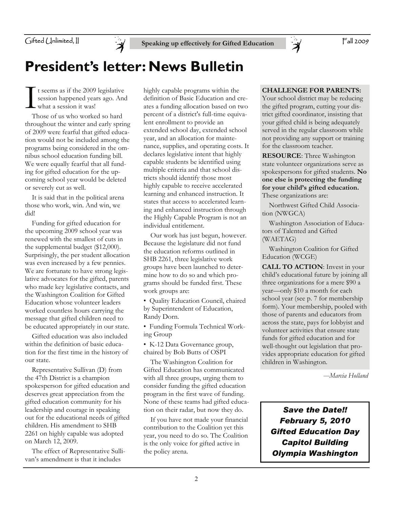

# **President's letter: News Bulletin**

I t seems as if the 2009 legislative<br>session happened years ago. And<br>what a session it was!<br>Those of us who worked so berd session happened years ago. And what a session it was!

 Those of us who worked so hard throughout the winter and early spring of 2009 were fearful that gifted education would not be included among the programs being considered in the omnibus school education funding bill. We were equally fearful that all funding for gifted education for the upcoming school year would be deleted or severely cut as well.

 It is said that in the political arena those who work, win. And win, we did!

 Funding for gifted education for the upcoming 2009 school year was renewed with the smallest of cuts in the supplemental budget (\$12,000). Surprisingly, the per student allocation was even increased by a few pennies. We are fortunate to have strong legislative advocates for the gifted, parents who made key legislative contacts, and the Washington Coalition for Gifted Education whose volunteer leaders worked countless hours carrying the message that gifted children need to be educated appropriately in our state.

 Gifted education was also included within the definition of basic education for the first time in the history of our state.

 Representative Sullivan (D) from the 47th District is a champion spokesperson for gifted education and deserves great appreciation from the gifted education community for his leadership and courage in speaking out for the educational needs of gifted children. His amendment to SHB 2261 on highly capable was adopted on March 12, 2009.

 The effect of Representative Sullivan's amendment is that it includes

highly capable programs within the definition of Basic Education and creates a funding allocation based on two percent of a district's full-time equivalent enrollment to provide an extended school day, extended school year, and an allocation for maintenance, supplies, and operating costs. It declares legislative intent that highly capable students be identified using multiple criteria and that school districts should identify those most highly capable to receive accelerated learning and enhanced instruction. It states that access to accelerated learning and enhanced instruction through the Highly Capable Program is not an individual entitlement.

 Our work has just begun, however. Because the legislature did not fund the education reforms outlined in SHB 2261, three legislative work groups have been launched to determine how to do so and which programs should be funded first. These work groups are:

• Quality Education Council, chaired by Superintendent of Education, Randy Dorn.

• Funding Formula Technical Working Group

• K-12 Data Governance group, chaired by Bob Butts of OSPI

 The Washington Coalition for Gifted Education has communicated with all three groups, urging them to consider funding the gifted education program in the first wave of funding. None of these teams had gifted education on their radar, but now they do.

 If you have not made your financial contribution to the Coalition yet this year, you need to do so. The Coalition is the only voice for gifted active in the policy arena.

#### **CHALLENGE FOR PARENTS:**

`À

Your school district may be reducing the gifted program, cutting your district gifted coordinator, insisting that your gifted child is being adequately served in the regular classroom while not providing any support or training for the classroom teacher.

**RESOURCE**: Three Washington state volunteer organizations serve as spokespersons for gifted students. **No one else is protecting the funding for your child's gifted education.**  These organizations are:

 Northwest Gifted Child Association (NWGCA)

 Washington Association of Educators of Talented and Gifted (WAETAG)

 Washington Coalition for Gifted Education (WCGE)

**CALL TO ACTION**: Invest in your child's educational future by joining all three organizations for a mere \$90 a year—only \$10 a month for each school year (see p. 7 for membership form). Your membership, pooled with those of parents and educators from across the state, pays for lobbyist and volunteer activities that ensure state funds for gifted education and for well-thought out legislation that provides appropriate education for gifted children in Washington.

*—Marcia Holland*

*Save the Date!! February 5, 2010 Gifted Education Day Capitol Building Olympia Washington*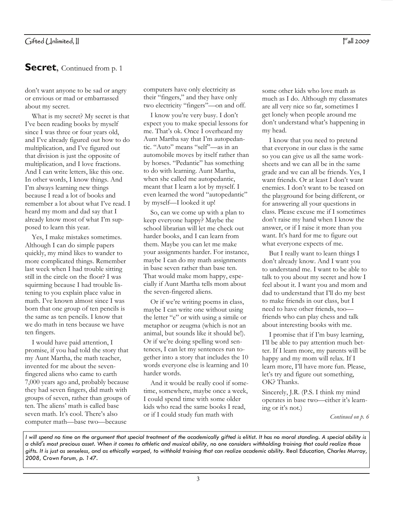#### Fall 2009

### **Secret**, Continued from p. 1

don't want anyone to be sad or angry or envious or mad or embarrassed about my secret.

 What is my secret? My secret is that I've been reading books by myself since I was three or four years old, and I've already figured out how to do multiplication, and I've figured out that division is just the opposite of multiplication, and I love fractions. And I can write letters, like this one. In other words, I know things. And I'm always learning new things because I read a lot of books and remember a lot about what I've read. I heard my mom and dad say that I already know most of what I'm supposed to learn this year.

 Yes, I make mistakes sometimes. Although I can do simple papers quickly, my mind likes to wander to more complicated things. Remember last week when I had trouble sitting still in the circle on the floor? I was squirming because I had trouble listening to you explain place value in math. I've known almost since I was born that one group of ten pencils is the same as ten pencils. I know that we do math in tens because we have ten fingers.

 I would have paid attention, I promise, if you had told the story that my Aunt Martha, the math teacher, invented for me about the sevenfingered aliens who came to earth 7,000 years ago and, probably because they had seven fingers, did math with groups of seven, rather than groups of ten. The aliens' math is called base seven math. It's cool. There's also computer math—base two—because

computers have only electricity as their "fingers," and they have only two electricity "fingers"—on and off.

 I know you're very busy. I don't expect you to make special lessons for me. That's ok. Once I overheard my Aunt Martha say that I'm autopedantic. "Auto" means "self"—as in an automobile moves by itself rather than by horses. "Pedantic" has something to do with learning. Aunt Martha, when she called me autopedantic, meant that I learn a lot by myself. I even learned the word "autopedantic" by myself—I looked it up!

 So, can we come up with a plan to keep everyone happy? Maybe the school librarian will let me check out harder books, and I can learn from them. Maybe you can let me make your assignments harder. For instance, maybe I can do my math assignments in base seven rather than base ten. That would make mom happy, especially if Aunt Martha tells mom about the seven-fingered aliens.

 Or if we're writing poems in class, maybe I can write one without using the letter "e" or with using a simile or metaphor or zeugma (which is not an animal, but sounds like it should be!). Or if we're doing spelling word sentences, I can let my sentences run together into a story that includes the 10 words everyone else is learning and 10 harder words.

 And it would be really cool if sometime, somewhere, maybe once a week, I could spend time with some older kids who read the same books I read, or if I could study fun math with

some other kids who love math as much as I do. Although my classmates are all very nice so far, sometimes I get lonely when people around me don't understand what's happening in my head.

 I know that you need to pretend that everyone in our class is the same so you can give us all the same worksheets and we can all be in the same grade and we can all be friends. Yes, I want friends. Or at least I don't want enemies. I don't want to be teased on the playground for being different, or for answering all your questions in class. Please excuse me if I sometimes don't raise my hand when I know the answer, or if I raise it more than you want. It's hard for me to figure out what everyone expects of me.

 But I really want to learn things I don't already know. And I want you to understand me. I want to be able to talk to you about my secret and how I feel about it. I want you and mom and dad to understand that I'll do my best to make friends in our class, but I need to have other friends, too friends who can play chess and talk about interesting books with me.

 I promise that if I'm busy learning, I'll be able to pay attention much better. If I learn more, my parents will be happy and my mom will relax. If I learn more, I'll have more fun. Please, let's try and figure out something, OK? Thanks.

Sincerely, J.R. (P.S. I think my mind operates in base two—either it's learning or it's not.)

*Continued on p. 6* 

*I* will spend no time on the argument that special treatment of the academically gifted is elitist. It has no moral standing. A special ability is *a child's most precious asset. When it comes to athletic and musical ability, no one considers withholding training that could realize those gifts. It is just as senseless, and as ethically warped, to withhold training that can realize academic ability.* Real Education*, Charles Murray, 2008, Crown Forum, p. 147.*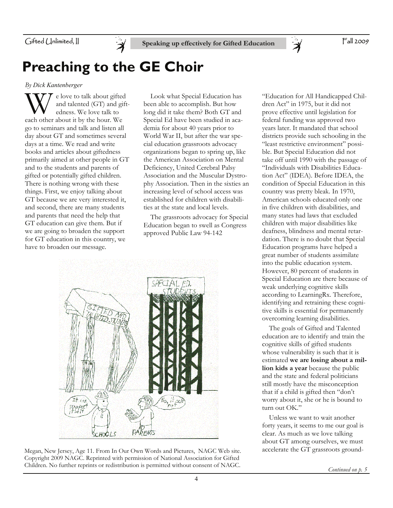

# **Preaching to the GE Choir**

*By Dick Kantenberger* 

 $\sum_{\text{end}}$  e love to talk about gifted<br>and talented (GT) and gift<br>edness. We love talk to and talented (GT) and giftedness. We love talk to each other about it by the hour. We go to seminars and talk and listen all day about GT and sometimes several days at a time. We read and write books and articles about giftedness primarily aimed at other people in GT and to the students and parents of gifted or potentially gifted children. There is nothing wrong with these things. First, we enjoy talking about GT because we are very interested it, and second, there are many students and parents that need the help that GT education can give them. But if we are going to broaden the support for GT education in this country, we have to broaden our message.

 Look what Special Education has been able to accomplish. But how long did it take them? Both GT and Special Ed have been studied in academia for about 40 years prior to World War II, but after the war special education grassroots advocacy organizations began to spring up, like the American Association on Mental Deficiency, United Cerebral Palsy Association and the Muscular Dystrophy Association. Then in the sixties an increasing level of school access was established for children with disabilities at the state and local levels.

 The grassroots advocacy for Special Education began to swell as Congress approved Public Law 94-142



Megan, New Jersey, Age 11. From In Our Own Words and Pictures, NAGC Web site. Copyright 2009 NAGC. Reprinted with permission of National Association for Gifted Children. No further reprints or redistribution is permitted without consent of NAGC.

"Education for All Handicapped Children Act" in 1975, but it did not prove effective until legislation for federal funding was approved two years later. It mandated that school districts provide such schooling in the "least restrictive environment" possible. But Special Education did not take off until 1990 with the passage of "Individuals with Disabilities Education Act" (IDEA). Before IDEA, the condition of Special Education in this country was pretty bleak. In 1970, American schools educated only one in five children with disabilities, and many states had laws that excluded children with major disabilities like deafness, blindness and mental retardation. There is no doubt that Special Education programs have helped a great number of students assimilate into the public education system. However, 80 percent of students in Special Education are there because of weak underlying cognitive skills according to LearningRx. Therefore, identifying and retraining these cognitive skills is essential for permanently overcoming learning disabilities.

 $\ddot{\bm{\lambda}}$ 

 The goals of Gifted and Talented education are to identify and train the cognitive skills of gifted students whose vulnerability is such that it is estimated **we are losing about a million kids a year** because the public and the state and federal politicians still mostly have the misconception that if a child is gifted then "don't worry about it, she or he is bound to turn out OK."

 Unless we want to wait another forty years, it seems to me our goal is clear. As much as we love talking about GT among ourselves, we must accelerate the GT grassroots ground-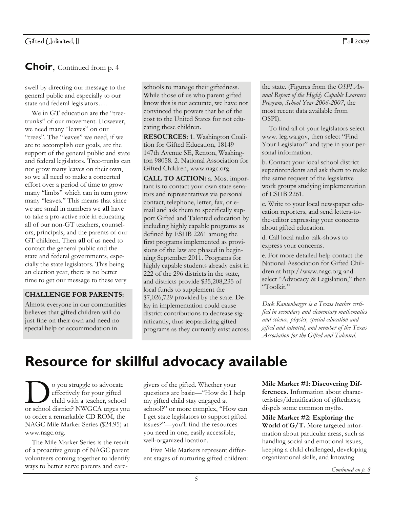### **Choir**, Continued from p. 4

swell by directing our message to the general public and especially to our state and federal legislators….

 We in GT education are the "treetrunks" of our movement. However, we need many "leaves" on our "trees". The "leaves" we need, if we are to accomplish our goals, are the support of the general public and state and federal legislators. Tree-trunks can not grow many leaves on their own, so we all need to make a concerted effort over a period of time to grow many "limbs" which can in turn grow many "leaves." This means that since we are small in numbers we **all** have to take a pro-active role in educating all of our non-GT teachers, counselors, principals, and the parents of our GT children. Then **all** of us need to contact the general public and the state and federal governments, especially the state legislators. This being an election year, there is no better time to get our message to these very

#### **CHALLENGE FOR PARENTS:**

Almost everyone in our communities believes that gifted children will do just fine on their own and need no special help or accommodation in

schools to manage their giftedness. While those of us who parent gifted know this is not accurate, we have not convinced the powers that be of the cost to the United States for not educating these children.

**RESOURCES:** 1. Washington Coalition for Gifted Education, 18149 147th Avenue SE, Renton, Washington 98058. 2. National Association for Gifted Children, www.nagc.org.

**CALL TO ACTION:** a. Most important is to contact your own state senators and representatives via personal contact, telephone, letter, fax, or email and ask them to specifically support Gifted and Talented education by including highly capable programs as defined by ESHB 2261 among the first programs implemented as provisions of the law are phased in beginning September 2011. Programs for highly capable students already exist in 222 of the 296 districts in the state, and districts provide \$35,208,235 of local funds to supplement the \$7,026,729 provided by the state. Delay in implementation could cause district contributions to decrease significantly, thus jeopardizing gifted programs as they currently exist across

the state. (Figures from the *OSPI Annual Report of the Highly Capable Learners Program, School Year 2006-2007*, the most recent data available from OSPI).

 To find all of your legislators select www. leg.wa.gov, then select "Find Your Legislator" and type in your personal information.

b. Contact your local school district superintendents and ask them to make the same request of the legislative work groups studying implementation of ESHB 2261.

c. Write to your local newspaper education reporters, and send letters-tothe-editor expressing your concerns about gifted education.

d. Call local radio talk-shows to express your concerns.

e. For more detailed help contact the National Association for Gifted Children at http://www.nagc.org and select "Advocacy & Legislation," then "Toolkit."

*Dick Kantenberger is a Texas teacher certified in secondary and elementary mathematics and science, physics, special education and gifted and talented, and member of the Texas Association for the Gifted and Talented*.

# **Resource for skillful advocacy available**

O you struggle to advocate<br>
effectively for your gifted<br>
child with a teacher, school<br>
or school district? NWGCA urges you effectively for your gifted child with a teacher, school to order a remarkable CD ROM, the NAGC Mile Marker Series (\$24.95) at www.nagc.org.

 The Mile Marker Series is the result of a proactive group of NAGC parent volunteers coming together to identify ways to better serve parents and caregivers of the gifted. Whether your questions are basic—"How do I help my gifted child stay engaged at school?" or more complex, "How can I get state legislators to support gifted issues?"—you'll find the resources you need in one, easily accessible, well-organized location.

 Five Mile Markers represent different stages of nurturing gifted children: **Mile Marker #1: Discovering Differences.** Information about characteristics/identification of giftedness; dispels some common myths.

**Mile Marker #2: Exploring the World of G/T.** More targeted information about particular areas, such as handling social and emotional issues, keeping a child challenged, developing organizational skills, and knowing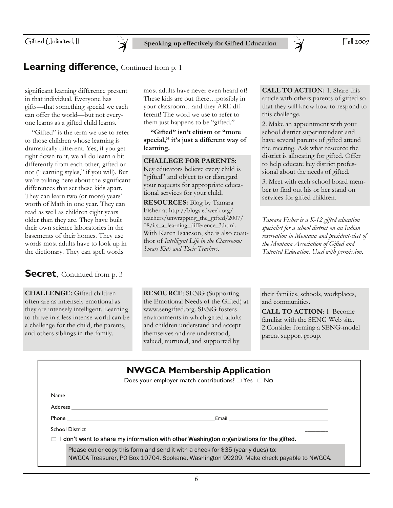### **Learning difference**, Continued from p. 1

significant learning difference present in that individual. Everyone has gifts—that something special we each can offer the world—but not everyone learns as a gifted child learns.

 "Gifted" is the term we use to refer to those children whose learning is dramatically different. Yes, if you get right down to it, we all do learn a bit differently from each other, gifted or not ("learning styles," if you will). But we're talking here about the significant differences that set these kids apart. They can learn two (or more) years' worth of Math in one year. They can read as well as children eight years older than they are. They have built their own science laboratories in the basements of their homes. They use words most adults have to look up in the dictionary. They can spell words

#### **Secret**, Continued from p. 3

**CHALLENGE:** Gifted children often are as int:ensely emotional as they are intensely intelligent. Learning to thrive in a less intense world can be a challenge for the child, the parents, and others siblings in the family.

most adults have never even heard of! These kids are out there…possibly in your classroom…and they ARE different! The word we use to refer to them just happens to be "gifted."

 **"Gifted" isn't elitism or "more special," it's just a different way of learning.**

#### **CHALLEGE FOR PARENTS:**

Key educators believe every child is "gifted" and object to or disregard your requests for appropriate educational services for your child**.**

**RESOURCES:** Blog by Tamara Fisher at http://blogs.edweek.org/ teachers/unwrapping\_the\_gifted/2007/ 08/its a learning difference 3.html. With Karen Isaacson, she is also coauthor of *Intelligent Life in the Classroom: Smart Kids and Their Teachers*.

**CALL TO ACTION:** 1. Share this article with others parents of gifted so that they will know how to respond to this challenge.

2. Make an appointment with your school district superintendent and have several parents of gifted attend the meeting. Ask what resource the district is allocating for gifted. Offer to help educate key district professional about the needs of gifted.

3. Meet with each school board member to find out his or her stand on services for gifted children.

*Tamara Fisher is a K-12 gifted education specialist for a school district on an Indian reservation in Montana and president-elect of the Montana Association of Gifted and Talented Education. Used with permission.* 

**RESOURCE**: SENG (Supporting the Emotional Needs of the Gifted) at www.sengifted.org. SENG fosters environments in which gifted adults and children understand and accept themselves and are understood, valued, nurtured, and supported by

their families, schools, workplaces, and communities.

**CALL TO ACTION**: 1. Become familiar with the SENG Web site. 2 Consider forming a SENG-model parent support group.

|  | <b>NWGCA Membership Application</b> |  |
|--|-------------------------------------|--|
|--|-------------------------------------|--|

Does your employer match contributions?  $\Box$  Yes  $\Box$  No

Name Address

Phone **Email** 

School District

I don't want to share my information with other Washington organizations for the gifted**.**

Please cut or copy this form and send it with a check for \$35 (yearly dues) to: NWGCA Treasurer, PO Box 10704, Spokane, Washington 99209. Make check payable to NWGCA.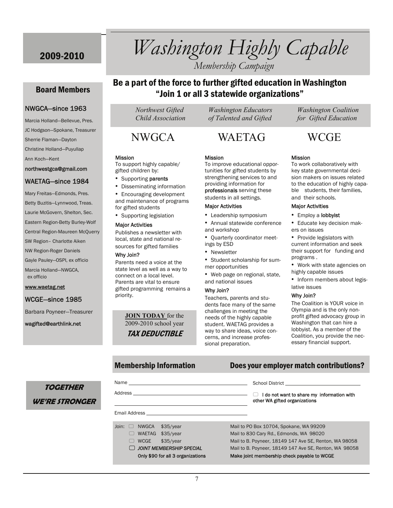Board Members

NWGCA—since 1963 Marcia Holland—Bellevue, Pres. JC Hodgson—Spokane, Treasurer

Sherrie Flaman—Dayton Christine Holland—Puyullap

northwestgca@gmail.com WAETAG—since 1984 Mary Freitas—Edmonds, Pres. Betty Buzitis—Lynnwood, Treas. Laurie McGovern, Shelton, Sec. Eastern Region-Betty Burley-Wolf Central Region-Maureen McQuerry SW Region– Charlotte Aiken NW Region-Roger Daniels Gayle Pauley—OSPI, ex officio Marcia Holland—NWGCA,

Ann Koch—Kent

ex officio

www.waetag.net

WCGE—since 1985

wagifted@earthlink.net

Barbara Poyneer—Treasurer

# 2009-2010 *Washington Highly Capable*

*Membership Campaign* 

### Be a part of the force to further gifted education in Washington "Join 1 or all 3 statewide organizations"

#### Mission

To support highly capable/ gifted children by:

- Supporting parents
- Disseminating information
- Encouraging development and maintenance of programs for gifted students
- Supporting legislation

#### Major Activities

Publishes a newsletter with local, state and national resources for gifted families

#### Why Join?

Name

Parents need a voice at the state level as well as a way to connect on a local level. Parents are vital to ensure gifted programming remains a priority.

> **JOIN TODAY** for the 2009-2010 school year TAX DEDUCTIBLE

 *Child Association of Talented and Gifted for Gifted Education* 

### NWGCA WAETAG WCGE

#### Mission

tunities for gifted students by strengthening services to and providing information for professionals serving these students in all settings.

- 
- 
- ings by ESD
- Newsletter
- mer opportunities
- Web page on regional, state,

#### Why Join?

dents face many of the same needs of the highly capable student. WAETAG provides a way to share ideas, voice concerns, and increase professional preparation.

School District

 *Northwest Gifted Washington Educators Washington Coalition* 

#### Mission

To work collaboratively with key state governmental decision makers on issues related to the education of highly capable students, their families, and their schools.

#### Major Activities

- Employ a lobbyist
- Educate key decision makers on issues
- Provide legislators with current information and seek their support for funding and programs .
- Work with state agencies on highly capable issues
- Inform members about legislative issues

#### Why Join?

The Coalition is YOUR voice in Olympia and is the only nonprofit gifted advocacy group in Washington that can hire a lobbyist. As a member of the Coalition, you provide the necessary financial support.

#### Membership Information Does your employer match contributions?

### **TOGETHER WE'RE STRONGER**

| Address                                   | I do not want to share my information with<br>other WA gifted organizations |
|-------------------------------------------|-----------------------------------------------------------------------------|
|                                           |                                                                             |
| <b>NWGCA</b><br>\$35/year<br>Join: $\Box$ | Mail to PO Box 10704, Spokane, WA 99209                                     |
| WAETAG \$35/year<br>$\Box$                | Mail to 830 Cary Rd., Edmonds, WA 98020                                     |
| <b>WCGE</b><br>\$35/year<br>$\Box$        | Mail to B. Poyneer, 18149 147 Ave SE, Renton, WA 98058                      |
| $\Box$ JOINT MEMBERSHIP SPECIAL           | Mail to B. Poyneer, 18149 147 Ave SE, Renton, WA 98058                      |
| Only \$90 for all 3 organizations         | Make joint membership check payable to WCGE                                 |

To improve educational oppor-

#### Major Activities

- Leadership symposium
- Annual statewide conference
- and workshop • Quarterly coordinator meet-
- 

• Student scholarship for sum-

## and national issues

Teachers, parents and stuchallenges in meeting the